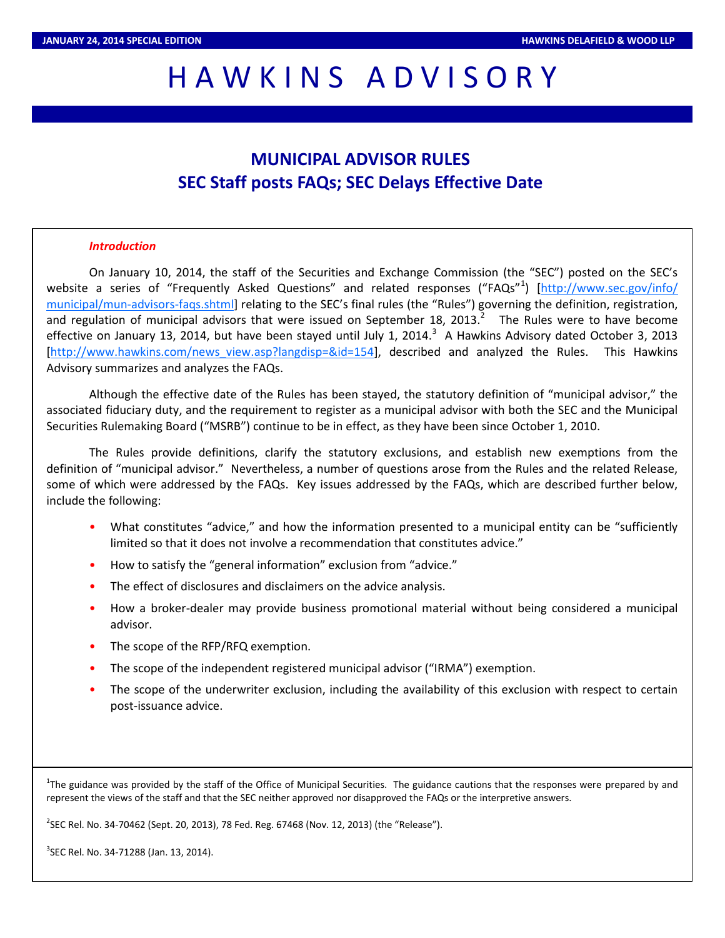# HAWKINS ADVISORY

# **MUNICIPAL ADVISOR RULES SEC Staff posts FAQs; SEC Delays Effective Date**

#### *Introduction*

On January 10, 2014, the staff of the Securities and Exchange Commission (the "SEC") posted on the SEC's website a series of "Frequently Asked Questions" and related responses ("FAQs"<sup>1</sup>) [[http://www.sec.gov/info/](http://www.sec.gov/info/municipal/mun-advisors-faqs.shtml) [municipal/mun-advisors-faqs.shtml](http://www.sec.gov/info/municipal/mun-advisors-faqs.shtml)] relating to the SEC's final rules (the "Rules") governing the definition, registration, and regulation of municipal advisors that were issued on September 18, 2013. $^2$  The Rules were to have become effective on January 13, 2014, but have been stayed until July 1, 2014. $^3$  A Hawkins Advisory dated October 3, 2013 [[http://www.hawkins.com/news\\_view.asp?langdisp=&id=154\]](http://www.hawkins.com/news_view.asp?langdisp=&id=154), described and analyzed the Rules. This Hawkins Advisory summarizes and analyzes the FAQs.

Although the effective date of the Rules has been stayed, the statutory definition of "municipal advisor," the associated fiduciary duty, and the requirement to register as a municipal advisor with both the SEC and the Municipal Securities Rulemaking Board ("MSRB") continue to be in effect, as they have been since October 1, 2010.

The Rules provide definitions, clarify the statutory exclusions, and establish new exemptions from the definition of "municipal advisor." Nevertheless, a number of questions arose from the Rules and the related Release, some of which were addressed by the FAQs. Key issues addressed by the FAQs, which are described further below, include the following:

- What constitutes "advice," and how the information presented to a municipal entity can be "sufficiently limited so that it does not involve a recommendation that constitutes advice."
- How to satisfy the "general information" exclusion from "advice."
- The effect of disclosures and disclaimers on the advice analysis.
- How a broker-dealer may provide business promotional material without being considered a municipal advisor.
- The scope of the RFP/RFQ exemption.
- The scope of the independent registered municipal advisor ("IRMA") exemption.
- The scope of the underwriter exclusion, including the availability of this exclusion with respect to certain post-issuance advice.

<sup>1</sup>The guidance was provided by the staff of the Office of Municipal Securities. The guidance cautions that the responses were prepared by and represent the views of the staff and that the SEC neither approved nor disapproved the FAQs or the interpretive answers.

2 SEC Rel. No. 34-70462 (Sept. 20, 2013), 78 Fed. Reg. 67468 (Nov. 12, 2013) (the "Release").

<sup>3</sup>SEC Rel. No. 34-71288 (Jan. 13, 2014).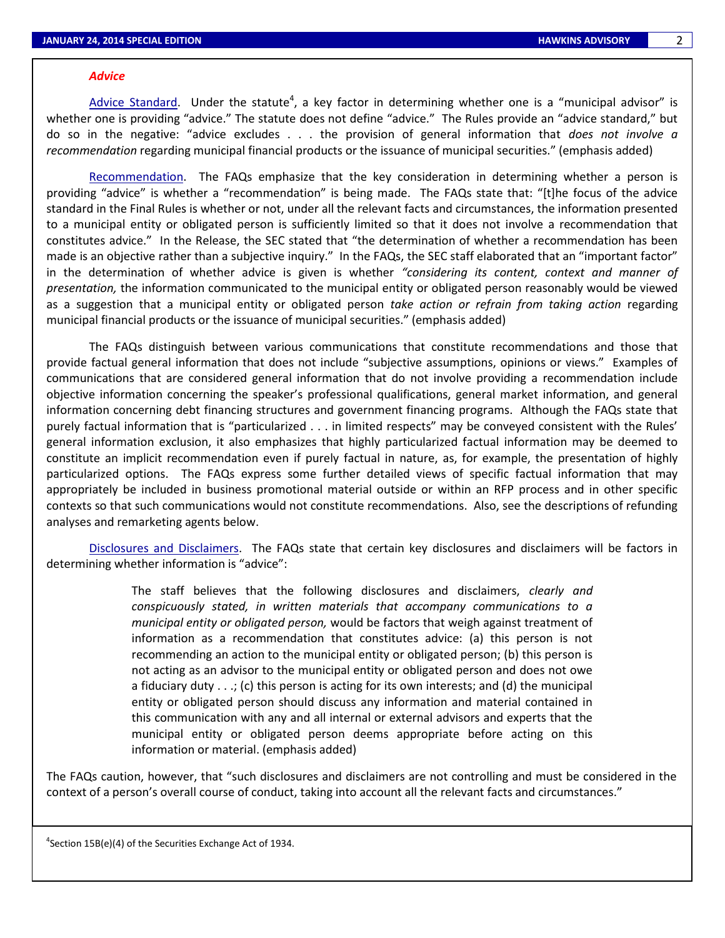#### 2

## *Advice*

Advice Standard. Under the statute<sup>4</sup>, a key factor in determining whether one is a "municipal advisor" is whether one is providing "advice." The statute does not define "advice." The Rules provide an "advice standard," but do so in the negative: "advice excludes . . . the provision of general information that *does not involve a recommendation* regarding municipal financial products or the issuance of municipal securities." (emphasis added)

Recommendation. The FAQs emphasize that the key consideration in determining whether a person is providing "advice" is whether a "recommendation" is being made. The FAQs state that: "[t]he focus of the advice standard in the Final Rules is whether or not, under all the relevant facts and circumstances, the information presented to a municipal entity or obligated person is sufficiently limited so that it does not involve a recommendation that constitutes advice." In the Release, the SEC stated that "the determination of whether a recommendation has been made is an objective rather than a subjective inquiry." In the FAQs, the SEC staff elaborated that an "important factor" in the determination of whether advice is given is whether *"considering its content, context and manner of presentation,* the information communicated to the municipal entity or obligated person reasonably would be viewed as a suggestion that a municipal entity or obligated person *take action or refrain from taking action* regarding municipal financial products or the issuance of municipal securities." (emphasis added)

The FAQs distinguish between various communications that constitute recommendations and those that provide factual general information that does not include "subjective assumptions, opinions or views." Examples of communications that are considered general information that do not involve providing a recommendation include objective information concerning the speaker's professional qualifications, general market information, and general information concerning debt financing structures and government financing programs. Although the FAQs state that purely factual information that is "particularized . . . in limited respects" may be conveyed consistent with the Rules' general information exclusion, it also emphasizes that highly particularized factual information may be deemed to constitute an implicit recommendation even if purely factual in nature, as, for example, the presentation of highly particularized options. The FAQs express some further detailed views of specific factual information that may appropriately be included in business promotional material outside or within an RFP process and in other specific contexts so that such communications would not constitute recommendations. Also, see the descriptions of refunding analyses and remarketing agents below.

Disclosures and Disclaimers. The FAQs state that certain key disclosures and disclaimers will be factors in determining whether information is "advice":

> The staff believes that the following disclosures and disclaimers, *clearly and conspicuously stated, in written materials that accompany communications to a municipal entity or obligated person,* would be factors that weigh against treatment of information as a recommendation that constitutes advice: (a) this person is not recommending an action to the municipal entity or obligated person; (b) this person is not acting as an advisor to the municipal entity or obligated person and does not owe a fiduciary duty  $\dots$ ; (c) this person is acting for its own interests; and (d) the municipal entity or obligated person should discuss any information and material contained in this communication with any and all internal or external advisors and experts that the municipal entity or obligated person deems appropriate before acting on this information or material. (emphasis added)

The FAQs caution, however, that "such disclosures and disclaimers are not controlling and must be considered in the context of a person's overall course of conduct, taking into account all the relevant facts and circumstances."

<sup>4</sup>Section 15B(e)(4) of the Securities Exchange Act of 1934.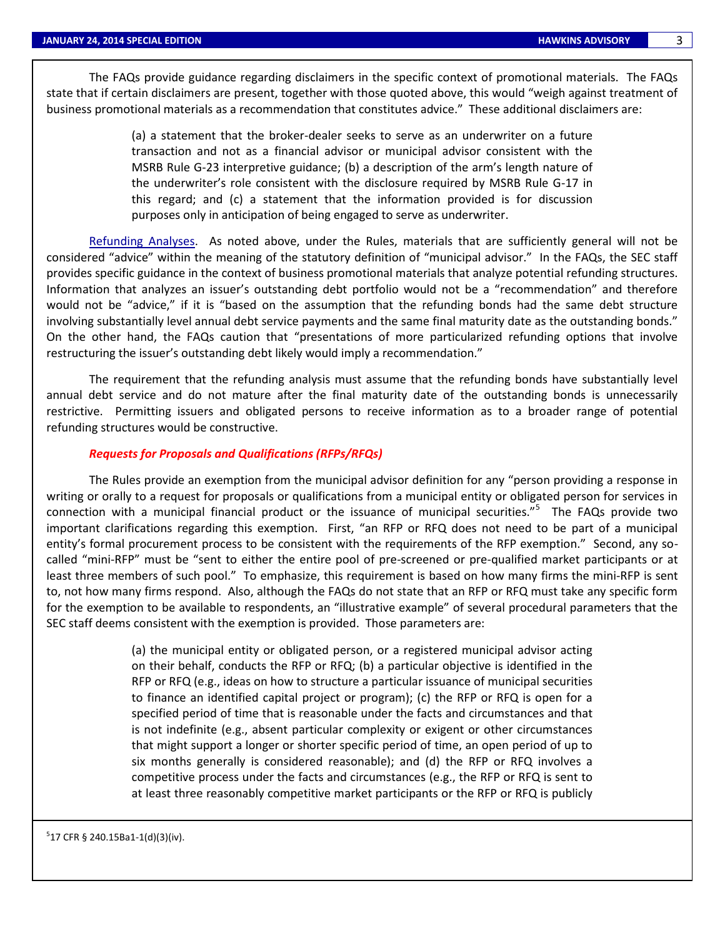The FAQs provide guidance regarding disclaimers in the specific context of promotional materials. The FAQs state that if certain disclaimers are present, together with those quoted above, this would "weigh against treatment of business promotional materials as a recommendation that constitutes advice." These additional disclaimers are:

> (a) a statement that the broker-dealer seeks to serve as an underwriter on a future transaction and not as a financial advisor or municipal advisor consistent with the MSRB Rule G-23 interpretive guidance; (b) a description of the arm's length nature of the underwriter's role consistent with the disclosure required by MSRB Rule G-17 in this regard; and (c) a statement that the information provided is for discussion purposes only in anticipation of being engaged to serve as underwriter.

Refunding Analyses. As noted above, under the Rules, materials that are sufficiently general will not be considered "advice" within the meaning of the statutory definition of "municipal advisor." In the FAQs, the SEC staff provides specific guidance in the context of business promotional materials that analyze potential refunding structures. Information that analyzes an issuer's outstanding debt portfolio would not be a "recommendation" and therefore would not be "advice," if it is "based on the assumption that the refunding bonds had the same debt structure involving substantially level annual debt service payments and the same final maturity date as the outstanding bonds." On the other hand, the FAQs caution that "presentations of more particularized refunding options that involve restructuring the issuer's outstanding debt likely would imply a recommendation."

The requirement that the refunding analysis must assume that the refunding bonds have substantially level annual debt service and do not mature after the final maturity date of the outstanding bonds is unnecessarily restrictive. Permitting issuers and obligated persons to receive information as to a broader range of potential refunding structures would be constructive.

#### *Requests for Proposals and Qualifications (RFPs/RFQs)*

The Rules provide an exemption from the municipal advisor definition for any "person providing a response in writing or orally to a request for proposals or qualifications from a municipal entity or obligated person for services in connection with a municipal financial product or the issuance of municipal securities."<sup>5</sup> The FAQs provide two important clarifications regarding this exemption. First, "an RFP or RFQ does not need to be part of a municipal entity's formal procurement process to be consistent with the requirements of the RFP exemption." Second, any socalled "mini-RFP" must be "sent to either the entire pool of pre-screened or pre-qualified market participants or at least three members of such pool." To emphasize, this requirement is based on how many firms the mini-RFP is sent to, not how many firms respond. Also, although the FAQs do not state that an RFP or RFQ must take any specific form for the exemption to be available to respondents, an "illustrative example" of several procedural parameters that the SEC staff deems consistent with the exemption is provided. Those parameters are:

> (a) the municipal entity or obligated person, or a registered municipal advisor acting on their behalf, conducts the RFP or RFQ; (b) a particular objective is identified in the RFP or RFQ (e.g., ideas on how to structure a particular issuance of municipal securities to finance an identified capital project or program); (c) the RFP or RFQ is open for a specified period of time that is reasonable under the facts and circumstances and that is not indefinite (e.g., absent particular complexity or exigent or other circumstances that might support a longer or shorter specific period of time, an open period of up to six months generally is considered reasonable); and (d) the RFP or RFQ involves a competitive process under the facts and circumstances (e.g., the RFP or RFQ is sent to at least three reasonably competitive market participants or the RFP or RFQ is publicly

 $5$ 17 CFR § 240.15Ba1-1(d)(3)(iv).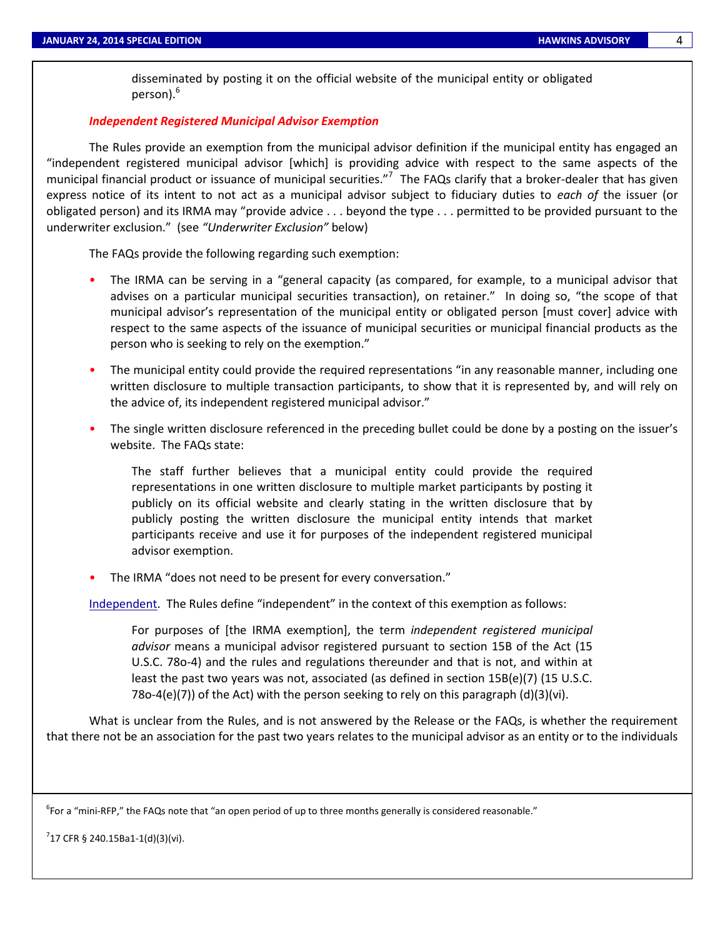disseminated by posting it on the official website of the municipal entity or obligated person).<sup>6</sup>

## *Independent Registered Municipal Advisor Exemption*

The Rules provide an exemption from the municipal advisor definition if the municipal entity has engaged an "independent registered municipal advisor [which] is providing advice with respect to the same aspects of the municipal financial product or issuance of municipal securities."<sup>7</sup> The FAQs clarify that a broker-dealer that has given express notice of its intent to not act as a municipal advisor subject to fiduciary duties to *each of* the issuer (or obligated person) and its IRMA may "provide advice . . . beyond the type . . . permitted to be provided pursuant to the underwriter exclusion." (see *"Underwriter Exclusion"* below)

The FAQs provide the following regarding such exemption:

- The IRMA can be serving in a "general capacity (as compared, for example, to a municipal advisor that advises on a particular municipal securities transaction), on retainer." In doing so, "the scope of that municipal advisor's representation of the municipal entity or obligated person [must cover] advice with respect to the same aspects of the issuance of municipal securities or municipal financial products as the person who is seeking to rely on the exemption."
- The municipal entity could provide the required representations "in any reasonable manner, including one written disclosure to multiple transaction participants, to show that it is represented by, and will rely on the advice of, its independent registered municipal advisor."
- The single written disclosure referenced in the preceding bullet could be done by a posting on the issuer's website. The FAQs state:

The staff further believes that a municipal entity could provide the required representations in one written disclosure to multiple market participants by posting it publicly on its official website and clearly stating in the written disclosure that by publicly posting the written disclosure the municipal entity intends that market participants receive and use it for purposes of the independent registered municipal advisor exemption.

• The IRMA "does not need to be present for every conversation."

Independent. The Rules define "independent" in the context of this exemption as follows:

For purposes of [the IRMA exemption], the term *independent registered municipal advisor* means a municipal advisor registered pursuant to section 15B of the Act (15 U.S.C. 78o-4) and the rules and regulations thereunder and that is not, and within at least the past two years was not, associated (as defined in section 15B(e)(7) (15 U.S.C. 78o-4(e)(7)) of the Act) with the person seeking to rely on this paragraph  $(d)(3)(vi)$ .

What is unclear from the Rules, and is not answered by the Release or the FAQs, is whether the requirement that there not be an association for the past two years relates to the municipal advisor as an entity or to the individuals

 $^6$ For a "mini-RFP," the FAQs note that "an open period of up to three months generally is considered reasonable."

 $7$ 17 CFR § 240.15Ba1-1(d)(3)(vi).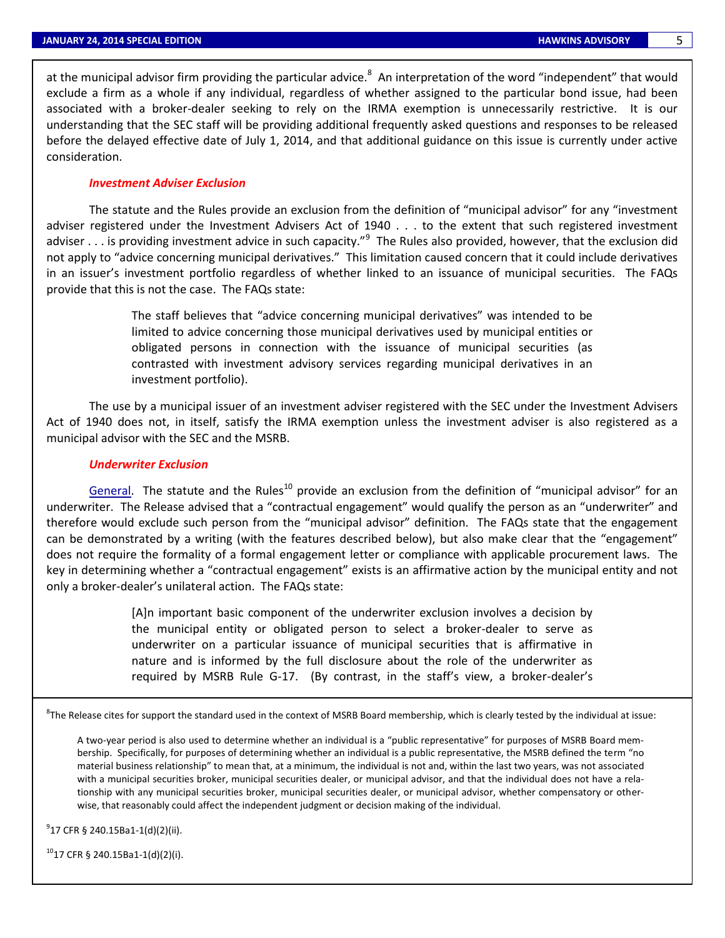at the municipal advisor firm providing the particular advice.<sup>8</sup> An interpretation of the word "independent" that would exclude a firm as a whole if any individual, regardless of whether assigned to the particular bond issue, had been associated with a broker-dealer seeking to rely on the IRMA exemption is unnecessarily restrictive. It is our understanding that the SEC staff will be providing additional frequently asked questions and responses to be released before the delayed effective date of July 1, 2014, and that additional guidance on this issue is currently under active consideration.

#### *Investment Adviser Exclusion*

The statute and the Rules provide an exclusion from the definition of "municipal advisor" for any "investment adviser registered under the Investment Advisers Act of 1940 . . . to the extent that such registered investment adviser . . . is providing investment advice in such capacity."<sup>9</sup> The Rules also provided, however, that the exclusion did not apply to "advice concerning municipal derivatives." This limitation caused concern that it could include derivatives in an issuer's investment portfolio regardless of whether linked to an issuance of municipal securities. The FAQs provide that this is not the case. The FAQs state:

> The staff believes that "advice concerning municipal derivatives" was intended to be limited to advice concerning those municipal derivatives used by municipal entities or obligated persons in connection with the issuance of municipal securities (as contrasted with investment advisory services regarding municipal derivatives in an investment portfolio).

The use by a municipal issuer of an investment adviser registered with the SEC under the Investment Advisers Act of 1940 does not, in itself, satisfy the IRMA exemption unless the investment adviser is also registered as a municipal advisor with the SEC and the MSRB.

#### *Underwriter Exclusion*

General. The statute and the Rules<sup>10</sup> provide an exclusion from the definition of "municipal advisor" for an underwriter. The Release advised that a "contractual engagement" would qualify the person as an "underwriter" and therefore would exclude such person from the "municipal advisor" definition. The FAQs state that the engagement can be demonstrated by a writing (with the features described below), but also make clear that the "engagement" does not require the formality of a formal engagement letter or compliance with applicable procurement laws. The key in determining whether a "contractual engagement" exists is an affirmative action by the municipal entity and not only a broker-dealer's unilateral action. The FAQs state:

> [A]n important basic component of the underwriter exclusion involves a decision by the municipal entity or obligated person to select a broker-dealer to serve as underwriter on a particular issuance of municipal securities that is affirmative in nature and is informed by the full disclosure about the role of the underwriter as required by MSRB Rule G-17. (By contrast, in the staff's view, a broker-dealer's

 ${}^{8}$ The Release cites for support the standard used in the context of MSRB Board membership, which is clearly tested by the individual at issue:

A two-year period is also used to determine whether an individual is a "public representative" for purposes of MSRB Board membership. Specifically, for purposes of determining whether an individual is a public representative, the MSRB defined the term "no material business relationship" to mean that, at a minimum, the individual is not and, within the last two years, was not associated with a municipal securities broker, municipal securities dealer, or municipal advisor, and that the individual does not have a relationship with any municipal securities broker, municipal securities dealer, or municipal advisor, whether compensatory or otherwise, that reasonably could affect the independent judgment or decision making of the individual.

9 17 CFR § 240.15Ba1-1(d)(2)(ii).

 $^{10}$ 17 CFR § 240.15Ba1-1(d)(2)(i).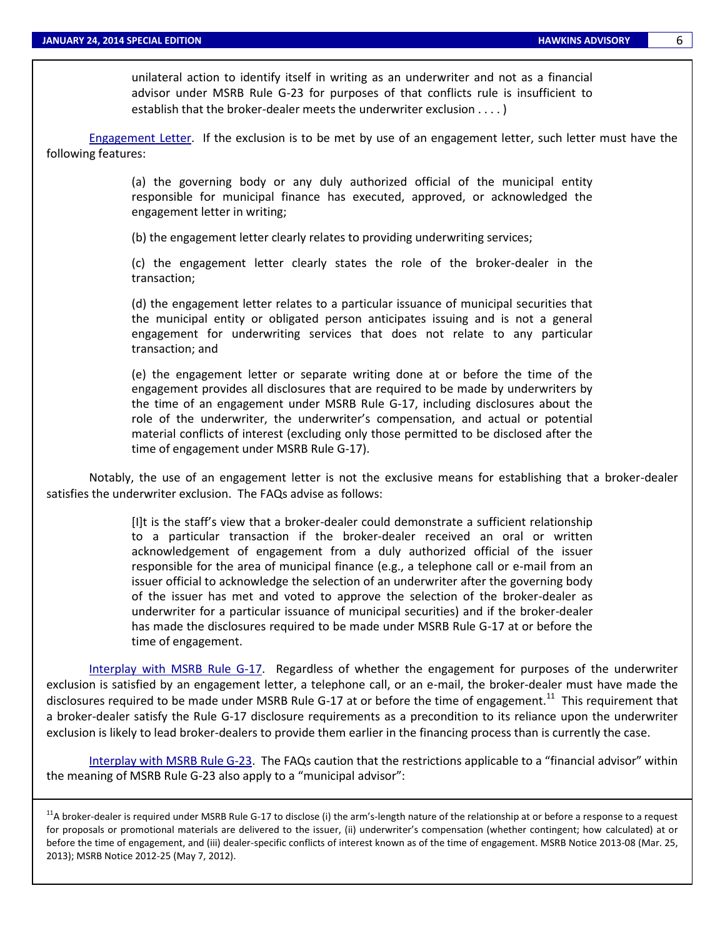unilateral action to identify itself in writing as an underwriter and not as a financial advisor under MSRB Rule G-23 for purposes of that conflicts rule is insufficient to establish that the broker-dealer meets the underwriter exclusion . . . . )

Engagement Letter. If the exclusion is to be met by use of an engagement letter, such letter must have the following features:

> (a) the governing body or any duly authorized official of the municipal entity responsible for municipal finance has executed, approved, or acknowledged the engagement letter in writing;

(b) the engagement letter clearly relates to providing underwriting services;

(c) the engagement letter clearly states the role of the broker-dealer in the transaction;

(d) the engagement letter relates to a particular issuance of municipal securities that the municipal entity or obligated person anticipates issuing and is not a general engagement for underwriting services that does not relate to any particular transaction; and

(e) the engagement letter or separate writing done at or before the time of the engagement provides all disclosures that are required to be made by underwriters by the time of an engagement under MSRB Rule G-17, including disclosures about the role of the underwriter, the underwriter's compensation, and actual or potential material conflicts of interest (excluding only those permitted to be disclosed after the time of engagement under MSRB Rule G-17).

Notably, the use of an engagement letter is not the exclusive means for establishing that a broker-dealer satisfies the underwriter exclusion. The FAQs advise as follows:

> [I]t is the staff's view that a broker-dealer could demonstrate a sufficient relationship to a particular transaction if the broker-dealer received an oral or written acknowledgement of engagement from a duly authorized official of the issuer responsible for the area of municipal finance (e.g., a telephone call or e-mail from an issuer official to acknowledge the selection of an underwriter after the governing body of the issuer has met and voted to approve the selection of the broker-dealer as underwriter for a particular issuance of municipal securities) and if the broker-dealer has made the disclosures required to be made under MSRB Rule G-17 at or before the time of engagement.

Interplay with MSRB Rule G-17. Regardless of whether the engagement for purposes of the underwriter exclusion is satisfied by an engagement letter, a telephone call, or an e-mail, the broker-dealer must have made the disclosures required to be made under MSRB Rule G-17 at or before the time of engagement.<sup>11</sup> This requirement that a broker-dealer satisfy the Rule G-17 disclosure requirements as a precondition to its reliance upon the underwriter exclusion is likely to lead broker-dealers to provide them earlier in the financing process than is currently the case.

Interplay with MSRB Rule G-23. The FAQs caution that the restrictions applicable to a "financial advisor" within the meaning of MSRB Rule G-23 also apply to a "municipal advisor":

 $11$ A broker-dealer is required under MSRB Rule G-17 to disclose (i) the arm's-length nature of the relationship at or before a response to a request for proposals or promotional materials are delivered to the issuer, (ii) underwriter's compensation (whether contingent; how calculated) at or before the time of engagement, and (iii) dealer-specific conflicts of interest known as of the time of engagement. MSRB Notice 2013-08 (Mar. 25, 2013); MSRB Notice 2012-25 (May 7, 2012).